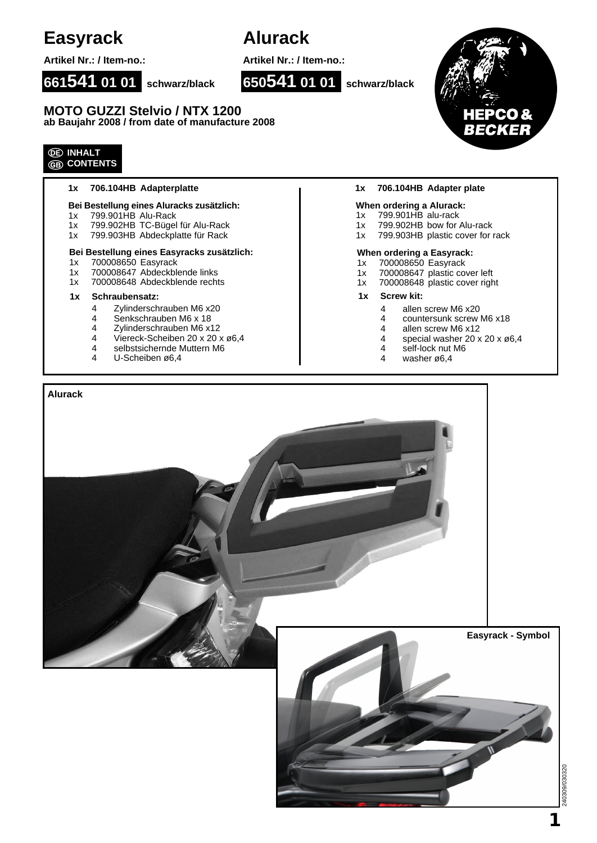## **Easyrack**

**Artikel Nr.: / Item-no.:**

# **Alurack**

**Artikel Nr.: / Item-no.:**

**650541 01 01 schwarz/black**

**661541 01 01 schwarz/black**

**MOTO GUZZI Stelvio / NTX 1200 ab Baujahr 2008 / from date of manufacture 2008**

### **INHALT CONTENTS**

## **1x 706.104HB Adapterplatte**

#### **Bei Bestellung eines Aluracks zusätzlich:**

- 1x 799.901HB Alu-Rack
- 1x 799.902HB TC-Bügel für Alu-Rack
- 1x 799.903HB Abdeckplatte für Rack

#### **Bei Bestellung eines Easyracks zusätzlich:**

- 1x 700008650 Easyrack
- 1x 700008647 Abdeckblende links
- 1x 700008648 Abdeckblende rechts

#### **1x Schraubensatz: 1x Screw kit:**

- 
- 4 Zylinderschrauben M6 x20<br>4 Senkschrauben M6 x 18 4 Senkschrauben M6 x 18<br>4 Zylinderschrauben M6 x
- 
- 4 Zylinderschrauben M6 x12<br>4 Viereck-Scheiben 20 x 20 x Viereck-Scheiben 20 x 20 x ø6,4
- 4 selbstsichernde Muttern M6
- 4 U-Scheiben ø6,4

#### **1x 706.104HB Adapter plate**

#### **When ordering a Alurack:**

- 1x 799.901HB alu-rack<br>1x 799.902HB bow for
- 799.902HB bow for Alu-rack
- 1x 799.903HB plastic cover for rack

#### **When ordering a Easyrack:**

- 1x 700008650 Easyrack
- 1x 700008647 plastic cover left
- 1x 700008648 plastic cover right
- - 4 allen screw M6 x20<br>4 countersunk screw l
	- countersunk screw M6 x18
	- 4 allen screw M6 x12
	- 4 special washer 20 x 20 x ø6,4
	- 4 self-lock nut M6
	- 4 washer ø6,4



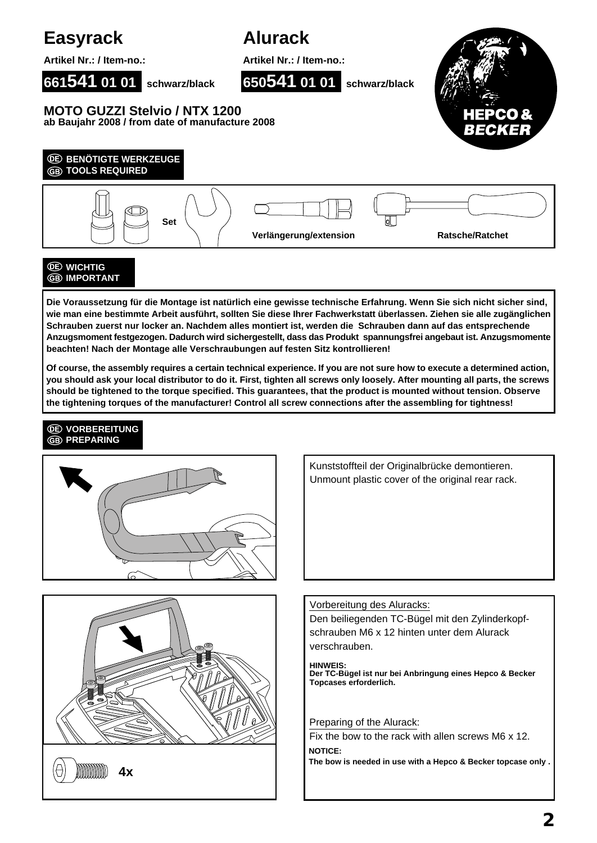

**Die Voraussetzung für die Montage ist natürlich eine gewisse technische Erfahrung. Wenn Sie sich nicht sicher sind, wie man eine bestimmte Arbeit ausführt, sollten Sie diese Ihrer Fachwerkstatt überlassen. Ziehen sie alle zugänglichen Schrauben zuerst nur locker an. Nachdem alles montiert ist, werden die Schrauben dann auf das entsprechende Anzugsmoment festgezogen. Dadurch wird sichergestellt, dass das Produkt spannungsfrei angebaut ist. Anzugsmomente beachten! Nach der Montage alle Verschraubungen auf festen Sitz kontrollieren!**

**Of course, the assembly requires a certain technical experience. If you are not sure how to execute a determined action, you should ask your local distributor to do it. First, tighten all screws only loosely. After mounting all parts, the screws should be tightened to the torque specified. This guarantees, that the product is mounted without tension. Observe the tightening torques of the manufacturer! Control all screw connections after the assembling for tightness!**

### **VORBEREITUNG GB** PREPARING





Kunststoffteil der Originalbrücke demontieren. Unmount plastic cover of the original rear rack.

### Vorbereitung des Aluracks:

Den beiliegenden TC-Bügel mit den Zylinderkopfschrauben M6 x 12 hinten unter dem Alurack verschrauben.

**HINWEIS: Der TC-Bügel ist nur bei Anbringung eines Hepco & Becker Topcases erforderlich.**

#### Preparing of the Alurack:

Fix the bow to the rack with allen screws M6 x 12. **NOTICE:**

**The bow is needed in use with a Hepco & Becker topcase only .**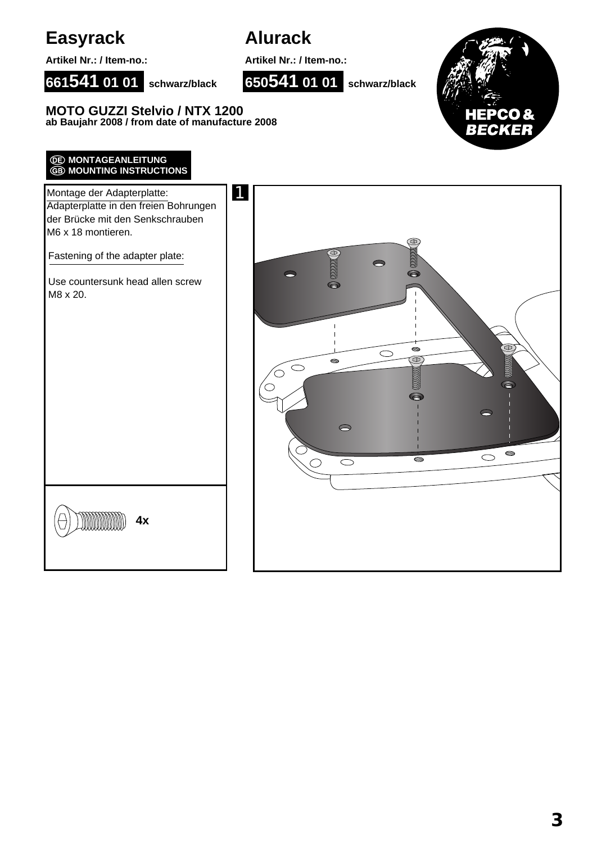

**Artikel Nr.: / Item-no.:**

## **Alurack**

**Artikel Nr.: / Item-no.:**

**650541 01 01 schwarz/black**



**MOTO GUZZI Stelvio / NTX 1200 ab Baujahr 2008 / from date of manufacture 2008**

**661541 01 01 schwarz/black**